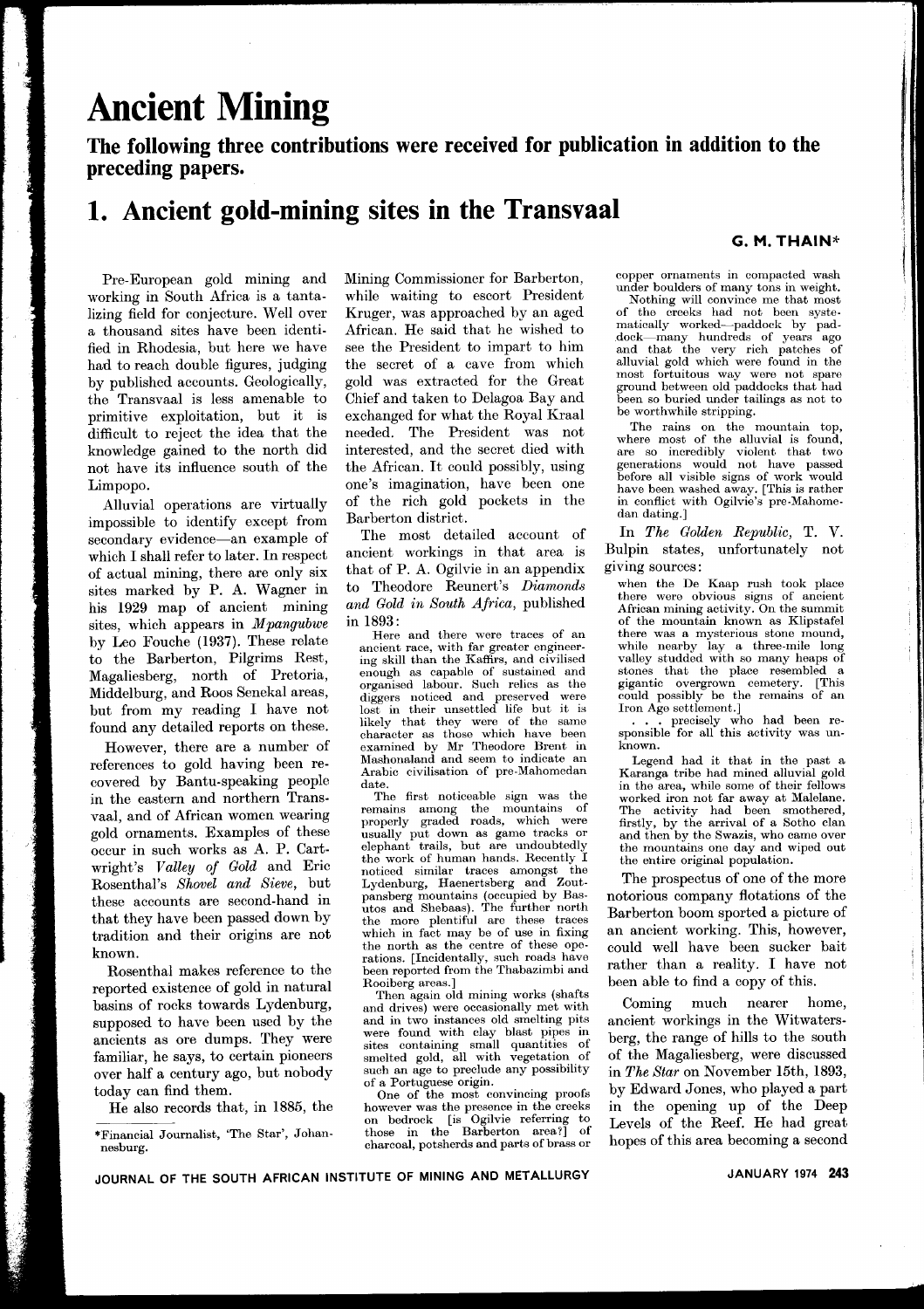# **Ancient Mining**

**The following three contributions were received for publication in addition to the preceding papers.**

### **1. Ancient gold-mining sites in the Transvaal**

#### **G. M. THAIN\***

Pre-European gold mining and working in South Africa is a tantalizing field for conjecture. Well over a thousand sites have been identified in Rhodesia, but here we have had to reach double figures, judging by published accounts. Geologically, the Transvaal is less amenable to primitive exploitation, but it is difficult to reject the idea that the knowledge gained to the north did not have its influence south of the Limpopo.

Alluvial operations are virtually impossible to identify except from secondary evidence-an example of which I shall refer to later. In respect of actual mining, there are only six sites marked by P. A. Wagner in his 1929 map of ancient mining sites, which appears in *Mpangubwe* by Leo Fouche (1937). These relate to the Barberton, Pilgrims Rest, Magaliesberg, north of Pretoria, Middelburg, and Roos Senekal areas, but from my reading I have not found any detailed reports on these.

However, there are a number of references to gold having been recovered by Bantu-speaking people in the eastern and northern Transvaal, and of African women wearing gold ornaments. Examples of these occur in such works as A. P. Cartwright's *Valley of Gold* and Eric Rosenthal's *Shovel and Sieve,* but these accounts are second-hand in that they have been passed down by tradition and their origins are not known.

Rosenthal makes reference to the reported existence of gold in natural basins of rocks towards Lydenburg, supposed to have been used by the ancients as ore dumps. They were familiar, he says, to certain pioneers over half a century ago, but nobody today can find them.

He also records that, in 1885, the

Mining Commissioner for Barberton, while waiting to escort President Kruger, was approached by an aged African. He said that he wished to see the President to impart to him the secret of a cave from which gold was extracted for the Great Chief and taken to Delagoa Bay and exchanged for what the Royal Kraal needed. The President was not interested, and the secret died with the African. It could possibly, using one's imagination, have been one of the rich gold pockets in the Barberton district.

The most detailed account of ancient workings in that area is that of P. A. Ogilvie in an appendix to Theodore Reunert's *Diamonds and Gold in South Africa,* published in 1893:

Here and there were traces of an ancient race, with far greater engineering skill than the Kaffirs, and civilised enough as capable of sustained an organised labour. Such relics as th diggers noticed and preserved wer lost in their unsettled life but it is likely that they were of the same character as those which have been examined by Mr Theodore Brent in Mashonaland and seem to indicate an Arabic civilisation of pre-Mahomedan date.

The first noticeable sign was the remains among the mountains of properly graded roads, which were usually put down as game tracks or  $elephant$  trails, but are undoubte the work of human hands. Recently I noticed similar traces amongst th<br>Lydenburg, Haenertsberg and Zout pansberg mountains (occupied by Basutos and Shebaas). The further north the more plentiful are these traces which in fact may be of use in fixing the north as the centre of these operations. [Incidentally, such roads have been reported from the Thabazimbi an Rooiberg areas.]

Then again old mining works (shaf and drives) were occasionally met with and in two instances old smelting pits were found with clay blast pipes in<br>sites containing small quantities of<br>smelted gold, all with vegetation of such an age to preclude any possibility of a Portuguese origin.

One of the most convincing proofs however was the presence in the creek on bedrock [is Ogilvie referring to those in the Barberton area?] of charcoal, potsherds and parts of brass or copper ornaments in compacted wash under boulders of many tons in weight.

Nothing will convince me that most of the creeks had not been systematically worked-paddock by pad- .dock-many hundreds of years ago and that the very rich patches of alluvial gold which were found in the most fortuitous way were not spare ground between old paddocks that had been so buried under tailings as not to be worthwhile stripping.

The rains on the mountain top, where most of the alluvial is found, are so incredibly violent that two<br>generations would not have passe before all visible signs of work would have been washed away. [This is rather in conflict with Ogilvie's pre-Mahomedan dating.]

In *The Golden Republic,* T. V. Bulpin states, unfortunately not giving sources:

when the De Kaap rush took place there were obvious signs of ancient African mining activity. On the summit of the mountain known as Klipstafel there was a mysterious stone mound, while nearby lay a three-mile long valley studded with so many heaps of stones that the place resembled a gigantic overgrown cemetery. [This could possibly be the remains of an Iron Age settlement.]

. . . precisely who had been re-sponsible for all this activity was unknown.

Legend had it that in the past a Karanga tribe had mined alluvial gold in the area, while some of their fellows worked iron not far away at Malelane. The activity had been smothered, firstly, by the arrival of a Sotho clan and then by the Swazis, who came over the mountains one day and wiped out the ehtire original population.

The prospectus of one of the more notorious company flotations of the Barberton boom sported a picture of an ancient working. This, however, could well have been sucker bait rather than a reality. I have not been able to find a copy of this.

Coming much nearer home, ancient workings in the Witwatersberg, the range of hills to the south of the Magaliesberg, were discussed in *The Star* on November 15th, 1893, by Edward Jones, who played a part in the opening up of the Deep Levels of the Reef. He had grea hopes of this area becoming a second

<sup>\*</sup>Financial Journalist, 'The Star', Johannesburg.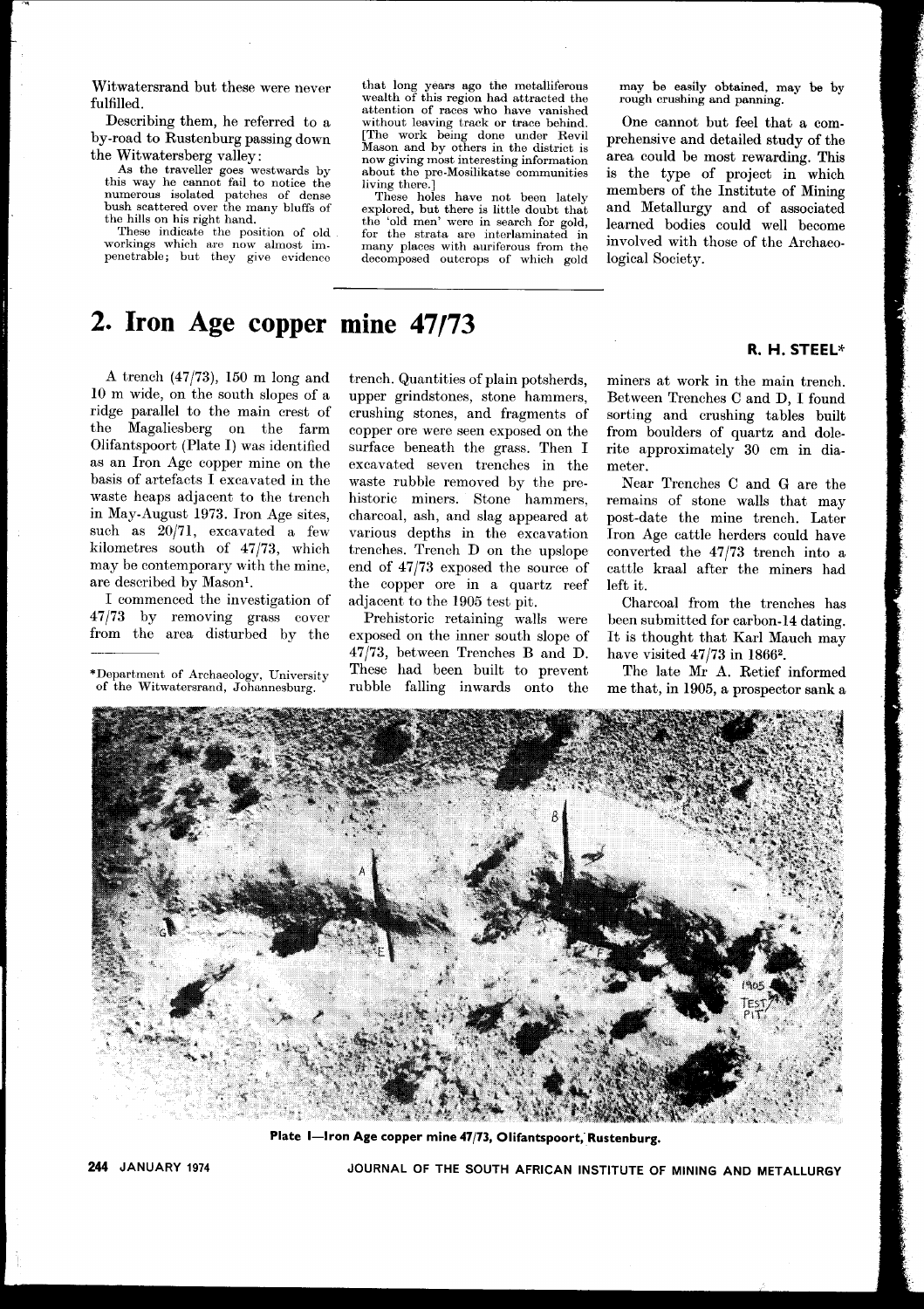Witwatersrand but these were never fulfilled.

Describing them, he referred to a by-road to Rustenburg passing down the Witwatersberg valley:

As the traveller goes westwards by this way he cannot fail to notice the numerous isolated patches of dense bush scattered over the many bluffs of the hills on his right hand.

These indicate the position of old workings which are now almost impenetrable; but they give evidence

that long years ago the metalliferou<br>wealth of this region had attracted th attention of races who have vanished without leaving track or trace behind. [The work being done under Revil Mason and by others in the district is now giving most interesting information about the pre-Mosilikatse communities living there.]

These holes have not been lately explored, but there is little doubt that the 'old men' were in search for gold for the strata are interlaminated in many places with auriferous from the decomposed outcrops of which gold may be easily obtained, may be by rough crushing and panning.

One cannot but feel that a comprehensive and detailed study of the area could be most rewarding. This is the type of project in which members of the Institute of Mining and Metallurgy and of associated learned bodies could well become involved with those of the Archaeological Society.

## **2. Iron Age copper mine 47/73**

A trench (47/73), 150 m long and 10 m wide, on the south slopes of a ridge parallel to the main crest of the Magaliesberg on the farm Olifantspoort (Plate I) was identified as an Iron Age copper mine on the basis of artefacts I excavated in the waste heaps adjacent to the trench in May-August 1973. Iron Age sites, such as 20/71, excavated a few kilometres south of 47/73, which may be contemporary with the mine, are described by Mason1.

I commenced the investigation of 47/73 by removing grass cover from the area disturbed by the

trench. Quantities of plain potsherds, upper grindstones, stone hammers, crushing stones, and fragments of copper ore were seen exposed on the surface beneath the grass. Then I excavated seven trenches in the waste rubble removed by the prehistoric miners. Stone hammers, charcoal, ash, and slag appeared at various depths in the excavation trenches. Trench D on the upslope end of 47/73 exposed the source of the copper ore in a quartz reef adjacent to the 1905 test pit.

Prehistoric retaining walls were exposed on the inner south slope of 47/73, between Trenches Band D. These had been built to prevent rubble falling inwards onto the miners at work in the main trench. Between Trenches C and D, I found sorting and crushing tables built from boulders of quartz and dolerite approximately 30 cm in diameter.

Near Trenches C and G are the remains of stone walls that may post-date the mine trench. Later Iron Age cattle herders could have converted the 47/73 trench into a cattle kraal after the miners had left it.

Charcoal from the trenches has been submitted for carbon-14 dating. It is thought that Karl Mauch may have visited 47/73 in 18662.

The late Mr A. Retief informed me that, in 1905, a prospector sank a



Plate I-Iron Age copper mine 47/73, Olifantspoort, Rustenburg.

JOURNAL OF THE SOUTH AFRICAN INSTITUTE OF MINING AND METALLURGY

#### R. H. STEEL\*

<sup>\*</sup>Department of Archaeology, University of the Witwatersrand, Johannesburg.